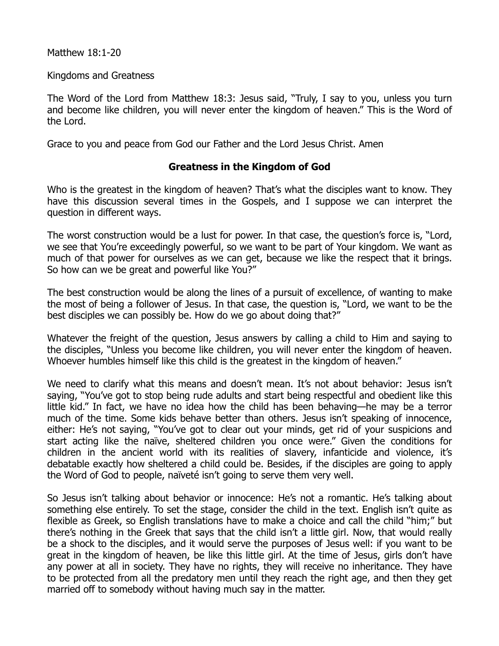## Matthew 18:1-20

## Kingdoms and Greatness

The Word of the Lord from Matthew 18:3: Jesus said, "Truly, I say to you, unless you turn and become like children, you will never enter the kingdom of heaven." This is the Word of the Lord.

Grace to you and peace from God our Father and the Lord Jesus Christ. Amen

## **Greatness in the Kingdom of God**

Who is the greatest in the kingdom of heaven? That's what the disciples want to know. They have this discussion several times in the Gospels, and I suppose we can interpret the question in different ways.

The worst construction would be a lust for power. In that case, the question's force is, "Lord, we see that You're exceedingly powerful, so we want to be part of Your kingdom. We want as much of that power for ourselves as we can get, because we like the respect that it brings. So how can we be great and powerful like You?"

The best construction would be along the lines of a pursuit of excellence, of wanting to make the most of being a follower of Jesus. In that case, the question is, "Lord, we want to be the best disciples we can possibly be. How do we go about doing that?"

Whatever the freight of the question, Jesus answers by calling a child to Him and saying to the disciples, "Unless you become like children, you will never enter the kingdom of heaven. Whoever humbles himself like this child is the greatest in the kingdom of heaven."

We need to clarify what this means and doesn't mean. It's not about behavior: Jesus isn't saying, "You've got to stop being rude adults and start being respectful and obedient like this little kid." In fact, we have no idea how the child has been behaving—he may be a terror much of the time. Some kids behave better than others. Jesus isn't speaking of innocence, either: He's not saying, "You've got to clear out your minds, get rid of your suspicions and start acting like the naïve, sheltered children you once were." Given the conditions for children in the ancient world with its realities of slavery, infanticide and violence, it's debatable exactly how sheltered a child could be. Besides, if the disciples are going to apply the Word of God to people, naïveté isn't going to serve them very well.

So Jesus isn't talking about behavior or innocence: He's not a romantic. He's talking about something else entirely. To set the stage, consider the child in the text. English isn't quite as flexible as Greek, so English translations have to make a choice and call the child "him;" but there's nothing in the Greek that says that the child isn't a little girl. Now, that would really be a shock to the disciples, and it would serve the purposes of Jesus well: if you want to be great in the kingdom of heaven, be like this little girl. At the time of Jesus, girls don't have any power at all in society. They have no rights, they will receive no inheritance. They have to be protected from all the predatory men until they reach the right age, and then they get married off to somebody without having much say in the matter.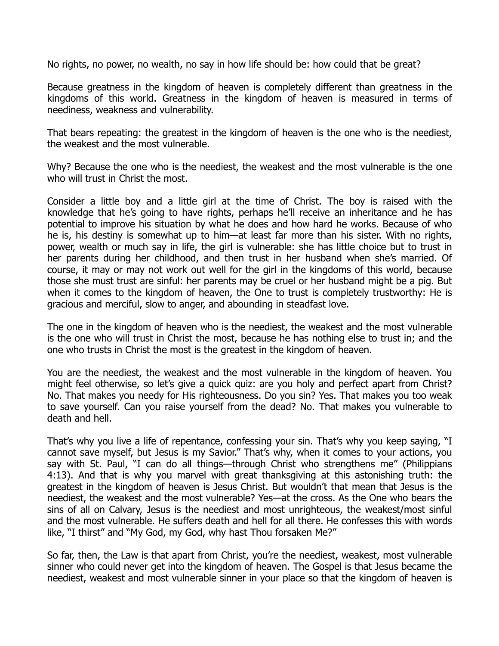No rights, no power, no wealth, no say in how life should be: how could that be great?

Because greatness in the kingdom of heaven is completely different than greatness in the kingdoms of this world. Greatness in the kingdom of heaven is measured in terms of neediness, weakness and vulnerability.

That bears repeating: the greatest in the kingdom of heaven is the one who is the neediest, the weakest and the most vulnerable.

Why? Because the one who is the neediest, the weakest and the most vulnerable is the one who will trust in Christ the most.

Consider a little boy and a little girl at the time of Christ. The boy is raised with the knowledge that he's going to have rights, perhaps he'll receive an inheritance and he has potential to improve his situation by what he does and how hard he works. Because of who he is, his destiny is somewhat up to him—at least far more than his sister. With no rights, power, wealth or much say in life, the girl is vulnerable: she has little choice but to trust in her parents during her childhood, and then trust in her husband when she's married. Of course, it may or may not work out well for the girl in the kingdoms of this world, because those she must trust are sinful: her parents may be cruel or her husband might be a pig. But when it comes to the kingdom of heaven, the One to trust is completely trustworthy: He is gracious and merciful, slow to anger, and abounding in steadfast love.

The one in the kingdom of heaven who is the neediest, the weakest and the most vulnerable is the one who will trust in Christ the most, because he has nothing else to trust in; and the one who trusts in Christ the most is the greatest in the kingdom of heaven.

You are the neediest, the weakest and the most vulnerable in the kingdom of heaven. You might feel otherwise, so let's give a quick quiz: are you holy and perfect apart from Christ? No. That makes you needy for His righteousness. Do you sin? Yes. That makes you too weak to save yourself. Can you raise yourself from the dead? No. That makes you vulnerable to death and hell.

That's why you live a life of repentance, confessing your sin. That's why you keep saying, "I cannot save myself, but Jesus is my Savior." That's why, when it comes to your actions, you say with St. Paul, "I can do all things—through Christ who strengthens me" (Philippians 4:13). And that is why you marvel with great thanksgiving at this astonishing truth: the greatest in the kingdom of heaven is Jesus Christ. But wouldn't that mean that Jesus is the neediest, the weakest and the most vulnerable? Yes—at the cross. As the One who bears the sins of all on Calvary, Jesus is the neediest and most unrighteous, the weakest/most sinful and the most vulnerable. He suffers death and hell for all there. He confesses this with words like, "I thirst" and "My God, my God, why hast Thou forsaken Me?"

So far, then, the Law is that apart from Christ, you're the neediest, weakest, most vulnerable sinner who could never get into the kingdom of heaven. The Gospel is that Jesus became the neediest, weakest and most vulnerable sinner in your place so that the kingdom of heaven is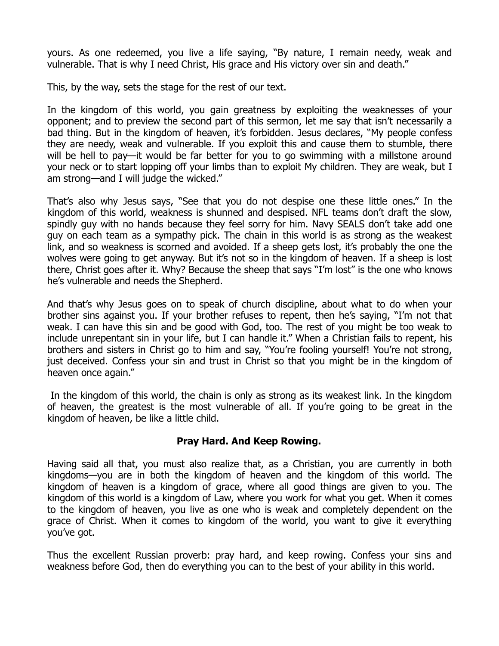yours. As one redeemed, you live a life saying, "By nature, I remain needy, weak and vulnerable. That is why I need Christ, His grace and His victory over sin and death."

This, by the way, sets the stage for the rest of our text.

In the kingdom of this world, you gain greatness by exploiting the weaknesses of your opponent; and to preview the second part of this sermon, let me say that isn't necessarily a bad thing. But in the kingdom of heaven, it's forbidden. Jesus declares, "My people confess they are needy, weak and vulnerable. If you exploit this and cause them to stumble, there will be hell to pay—it would be far better for you to go swimming with a millstone around your neck or to start lopping off your limbs than to exploit My children. They are weak, but I am strong—and I will judge the wicked."

That's also why Jesus says, "See that you do not despise one these little ones." In the kingdom of this world, weakness is shunned and despised. NFL teams don't draft the slow, spindly guy with no hands because they feel sorry for him. Navy SEALS don't take add one guy on each team as a sympathy pick. The chain in this world is as strong as the weakest link, and so weakness is scorned and avoided. If a sheep gets lost, it's probably the one the wolves were going to get anyway. But it's not so in the kingdom of heaven. If a sheep is lost there, Christ goes after it. Why? Because the sheep that says "I'm lost" is the one who knows he's vulnerable and needs the Shepherd.

And that's why Jesus goes on to speak of church discipline, about what to do when your brother sins against you. If your brother refuses to repent, then he's saying, "I'm not that weak. I can have this sin and be good with God, too. The rest of you might be too weak to include unrepentant sin in your life, but I can handle it." When a Christian fails to repent, his brothers and sisters in Christ go to him and say, "You're fooling yourself! You're not strong, just deceived. Confess your sin and trust in Christ so that you might be in the kingdom of heaven once again."

 In the kingdom of this world, the chain is only as strong as its weakest link. In the kingdom of heaven, the greatest is the most vulnerable of all. If you're going to be great in the kingdom of heaven, be like a little child.

## **Pray Hard. And Keep Rowing.**

Having said all that, you must also realize that, as a Christian, you are currently in both kingdoms—you are in both the kingdom of heaven and the kingdom of this world. The kingdom of heaven is a kingdom of grace, where all good things are given to you. The kingdom of this world is a kingdom of Law, where you work for what you get. When it comes to the kingdom of heaven, you live as one who is weak and completely dependent on the grace of Christ. When it comes to kingdom of the world, you want to give it everything you've got.

Thus the excellent Russian proverb: pray hard, and keep rowing. Confess your sins and weakness before God, then do everything you can to the best of your ability in this world.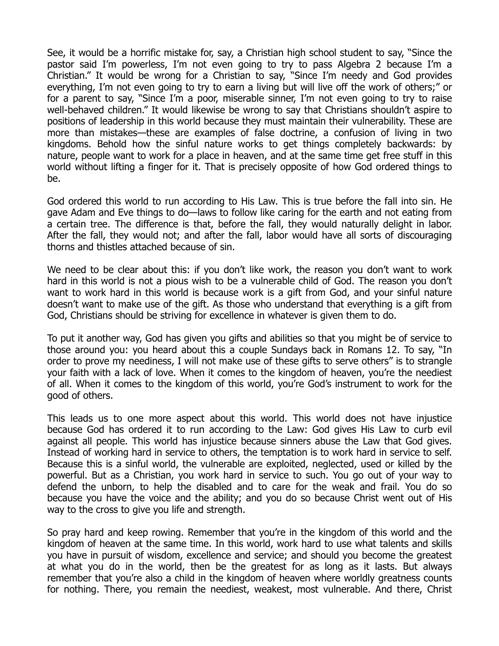See, it would be a horrific mistake for, say, a Christian high school student to say, "Since the pastor said I'm powerless, I'm not even going to try to pass Algebra 2 because I'm a Christian." It would be wrong for a Christian to say, "Since I'm needy and God provides everything, I'm not even going to try to earn a living but will live off the work of others;" or for a parent to say, "Since I'm a poor, miserable sinner, I'm not even going to try to raise well-behaved children." It would likewise be wrong to say that Christians shouldn't aspire to positions of leadership in this world because they must maintain their vulnerability. These are more than mistakes—these are examples of false doctrine, a confusion of living in two kingdoms. Behold how the sinful nature works to get things completely backwards: by nature, people want to work for a place in heaven, and at the same time get free stuff in this world without lifting a finger for it. That is precisely opposite of how God ordered things to be.

God ordered this world to run according to His Law. This is true before the fall into sin. He gave Adam and Eve things to do—laws to follow like caring for the earth and not eating from a certain tree. The difference is that, before the fall, they would naturally delight in labor. After the fall, they would not; and after the fall, labor would have all sorts of discouraging thorns and thistles attached because of sin.

We need to be clear about this: if you don't like work, the reason you don't want to work hard in this world is not a pious wish to be a vulnerable child of God. The reason you don't want to work hard in this world is because work is a gift from God, and your sinful nature doesn't want to make use of the gift. As those who understand that everything is a gift from God, Christians should be striving for excellence in whatever is given them to do.

To put it another way, God has given you gifts and abilities so that you might be of service to those around you: you heard about this a couple Sundays back in Romans 12. To say, "In order to prove my neediness, I will not make use of these gifts to serve others" is to strangle your faith with a lack of love. When it comes to the kingdom of heaven, you're the neediest of all. When it comes to the kingdom of this world, you're God's instrument to work for the good of others.

This leads us to one more aspect about this world. This world does not have injustice because God has ordered it to run according to the Law: God gives His Law to curb evil against all people. This world has injustice because sinners abuse the Law that God gives. Instead of working hard in service to others, the temptation is to work hard in service to self. Because this is a sinful world, the vulnerable are exploited, neglected, used or killed by the powerful. But as a Christian, you work hard in service to such. You go out of your way to defend the unborn, to help the disabled and to care for the weak and frail. You do so because you have the voice and the ability; and you do so because Christ went out of His way to the cross to give you life and strength.

So pray hard and keep rowing. Remember that you're in the kingdom of this world and the kingdom of heaven at the same time. In this world, work hard to use what talents and skills you have in pursuit of wisdom, excellence and service; and should you become the greatest at what you do in the world, then be the greatest for as long as it lasts. But always remember that you're also a child in the kingdom of heaven where worldly greatness counts for nothing. There, you remain the neediest, weakest, most vulnerable. And there, Christ